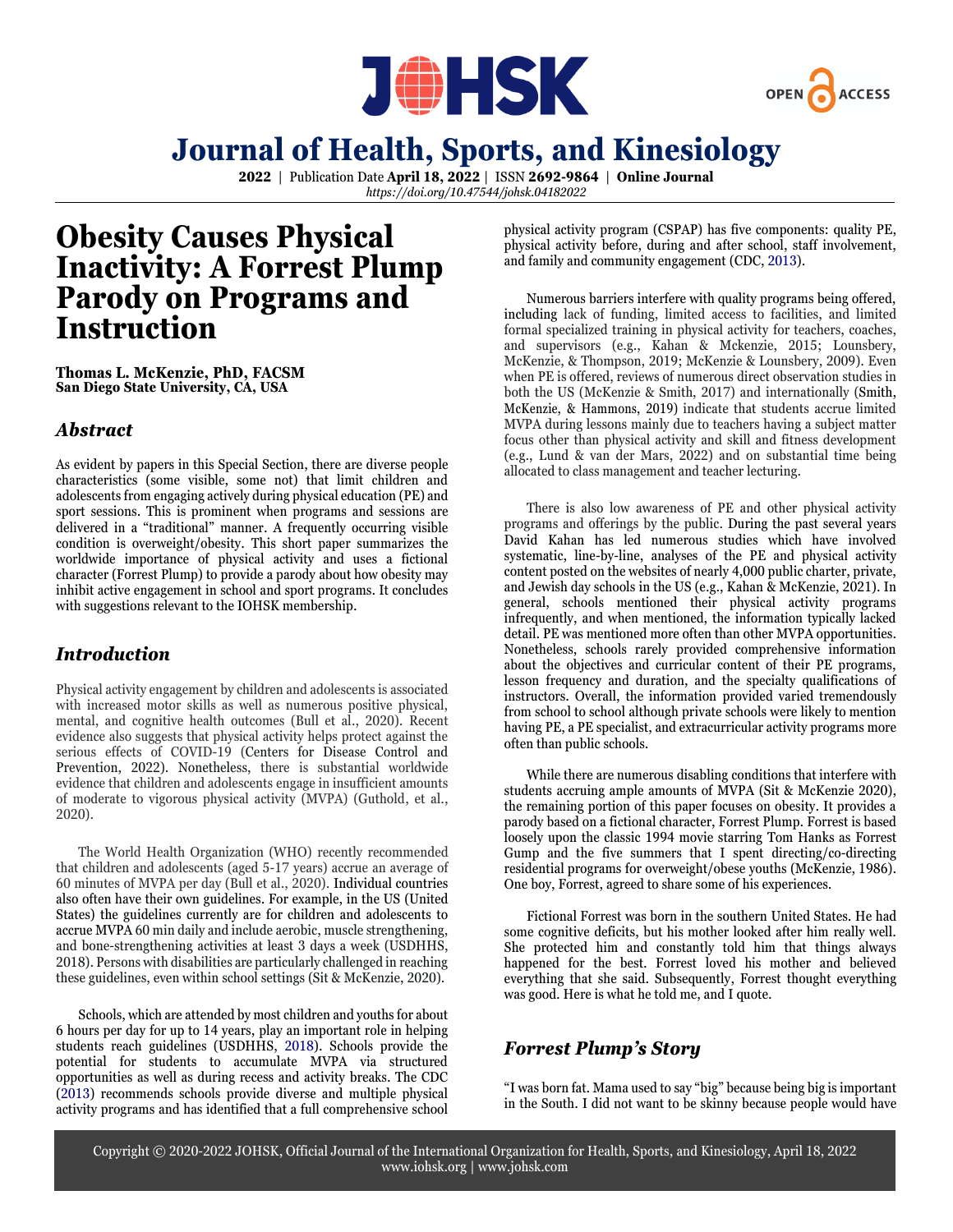



**2022** | Publication Date **April 18, 2022** | ISSN **2692-9864** | **Online Journal** *https://doi.org/10.47544/johsk.04182022*

## **Obesity Causes Physical Inactivity: A Forrest Plump Parody on Programs and Instruction**

**Thomas L. McKenzie, PhD, FACSM San Diego State University, CA, USA**

### *Abstract*

As evident by papers in this Special Section, there are diverse people characteristics (some visible, some not) that limit children and adolescents from engaging actively during physical education (PE) and sport sessions. This is prominent when programs and sessions are delivered in a "traditional" manner. A frequently occurring visible condition is overweight/obesity. This short paper summarizes the worldwide importance of physical activity and uses a fictional character (Forrest Plump) to provide a parody about how obesity may inhibit active engagement in school and sport programs. It concludes with suggestions relevant to the IOHSK membership.

## *Introduction*

Physical activity engagement by children and adolescents is associated with increased motor skills as well as numerous positive physical, mental, and cognitive health outcomes (Bull et al., 2020). Recent evidence also suggests that physical activity helps protect against the serious effects of COVID-19 (Centers for Disease Control and Prevention, 2022). Nonetheless, there is substantial worldwide evidence that children and adolescents engage in insufficient amounts of moderate to vigorous physical activity (MVPA) (Guthold, et al., 2020).

The World Health Organization (WHO) recently recommended that children and adolescents (aged 5-17 years) accrue an average of 60 minutes of MVPA per day (Bull et al., 2020). Individual countries also often have their own guidelines. For example, in the US (United States) the guidelines currently are for children and adolescents to accrue MVPA 60 min daily and include aerobic, muscle strengthening, and bone-strengthening activities at least 3 days a week (USDHHS, 2018). Persons with disabilities are particularly challenged in reaching these guidelines, even within school settings (Sit & McKenzie, 2020).

Schools, which are attended by most children and youths for about 6 hours per day for up to 14 years, play an important role in helping students reach guidelines (USDHHS, 2018). Schools provide the potential for students to accumulate MVPA via structured opportunities as well as during recess and activity breaks. The CDC (2013) recommends schools provide diverse and multiple physical activity programs and has identified that a full comprehensive school

physical activity program (CSPAP) has five components: quality PE, physical activity before, during and after school, staff involvement, and family and community engagement (CDC, 2013).

Numerous barriers interfere with quality programs being offered, including lack of funding, limited access to facilities, and limited formal specialized training in physical activity for teachers, coaches, and supervisors (e.g., Kahan & Mckenzie, 2015; Lounsbery, McKenzie, & Thompson, 2019; McKenzie & Lounsbery, 2009). Even when PE is offered, reviews of numerous direct observation studies in both the US (McKenzie & Smith, 2017) and internationally (Smith, McKenzie, & Hammons, 2019) indicate that students accrue limited MVPA during lessons mainly due to teachers having a subject matter focus other than physical activity and skill and fitness development (e.g., Lund & van der Mars, 2022) and on substantial time being allocated to class management and teacher lecturing.

There is also low awareness of PE and other physical activity programs and offerings by the public. During the past several years David Kahan has led numerous studies which have involved systematic, line-by-line, analyses of the PE and physical activity content posted on the websites of nearly 4,000 public charter, private, and Jewish day schools in the US (e.g., Kahan & McKenzie, 2021). In general, schools mentioned their physical activity programs infrequently, and when mentioned, the information typically lacked detail. PE was mentioned more often than other MVPA opportunities. Nonetheless, schools rarely provided comprehensive information about the objectives and curricular content of their PE programs, lesson frequency and duration, and the specialty qualifications of instructors. Overall, the information provided varied tremendously from school to school although private schools were likely to mention having PE, a PE specialist, and extracurricular activity programs more often than public schools.

While there are numerous disabling conditions that interfere with students accruing ample amounts of MVPA (Sit & McKenzie 2020), the remaining portion of this paper focuses on obesity. It provides a parody based on a fictional character, Forrest Plump. Forrest is based loosely upon the classic 1994 movie starring Tom Hanks as Forrest Gump and the five summers that I spent directing/co-directing residential programs for overweight/obese youths (McKenzie, 1986). One boy, Forrest, agreed to share some of his experiences.

Fictional Forrest was born in the southern United States. He had some cognitive deficits, but his mother looked after him really well. She protected him and constantly told him that things always happened for the best. Forrest loved his mother and believed everything that she said. Subsequently, Forrest thought everything was good. Here is what he told me, and I quote.

### *Forrest Plump's Story*

"I was born fat. Mama used to say "big" because being big isimportant in the South. I did not want to be skinny because people would have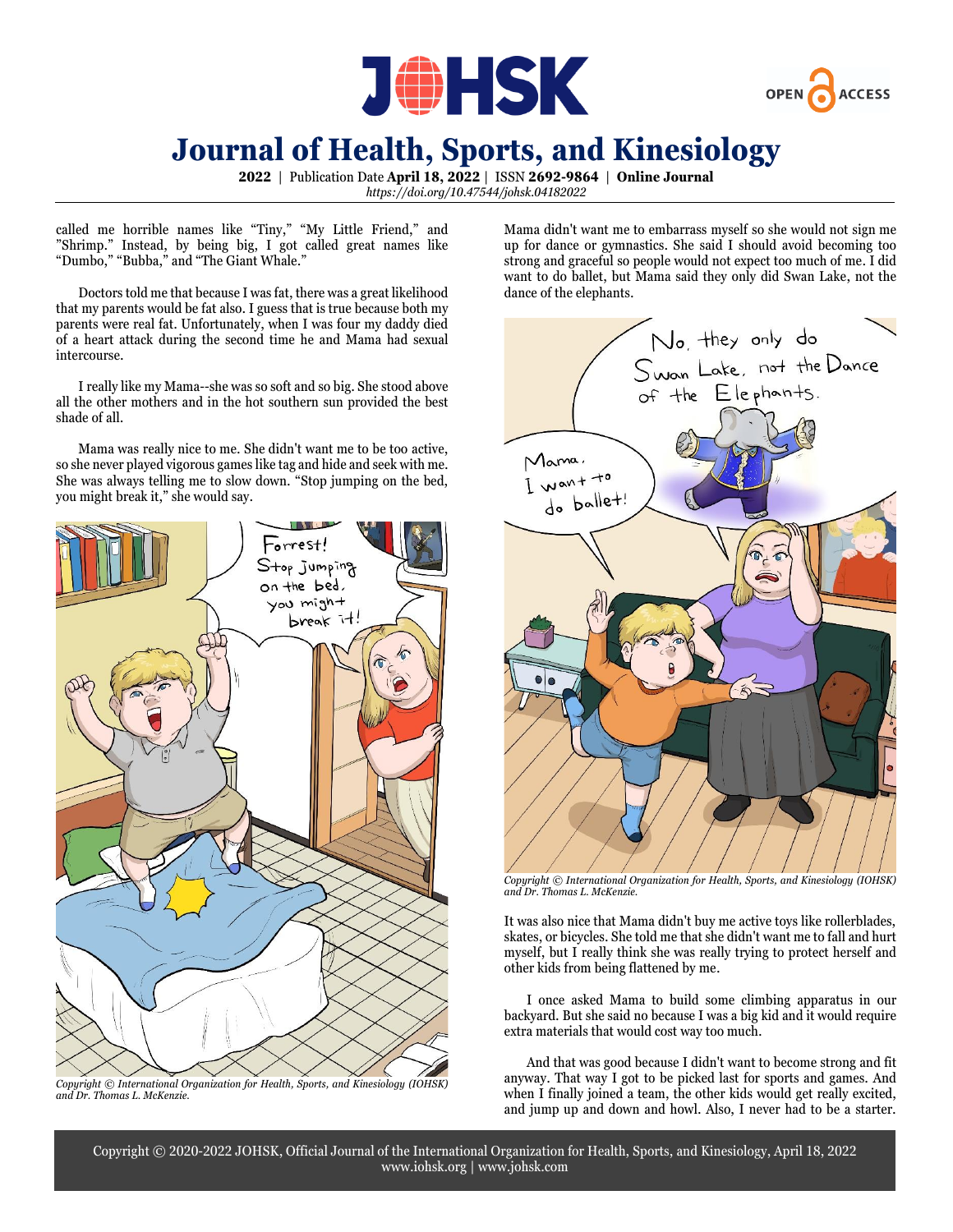



**2022** | Publication Date **April 18, 2022** | ISSN **2692-9864** | **Online Journal** *https://doi.org/10.47544/johsk.04182022*

called me horrible names like "Tiny," "My Little Friend," and "Shrimp." Instead, by being big, I got called great names like "Dumbo," "Bubba," and "The Giant Whale."

Doctors told me that because I was fat, there was a great likelihood that my parents would be fat also. I guess that is true because both my parents were real fat. Unfortunately, when I was four my daddy died of a heart attack during the second time he and Mama had sexual intercourse.

I really like my Mama--she was so soft and so big. She stood above all the other mothers and in the hot southern sun provided the best shade of all.

Mama was really nice to me. She didn't want me to be too active, so she never played vigorous games like tag and hide and seek with me. She was always telling me to slow down. "Stop jumping on the bed, you might break it," she would say.



*Copyright © International Organization for Health, Sports, and Kinesiology (IOHSK) and Dr. Thomas L. McKenzie.*

Mama didn't want me to embarrass myself so she would not sign me up for dance or gymnastics. She said I should avoid becoming too strong and graceful so people would not expect too much of me. I did want to do ballet, but Mama said they only did Swan Lake, not the dance of the elephants.



*Copyright © International Organization for Health, Sports, and Kinesiology (IOHSK) and Dr. Thomas L. McKenzie.*

It was also nice that Mama didn't buy me active toys like rollerblades, skates, or bicycles. She told me that she didn't want me to fall and hurt myself, but I really think she was really trying to protect herself and other kids from being flattened by me.

I once asked Mama to build some climbing apparatus in our backyard. But she said no because I was a big kid and it would require extra materials that would cost way too much.

And that was good because I didn't want to become strong and fit anyway. That way I got to be picked last for sports and games. And when I finally joined a team, the other kids would get really excited, and jump up and down and howl. Also, I never had to be a starter.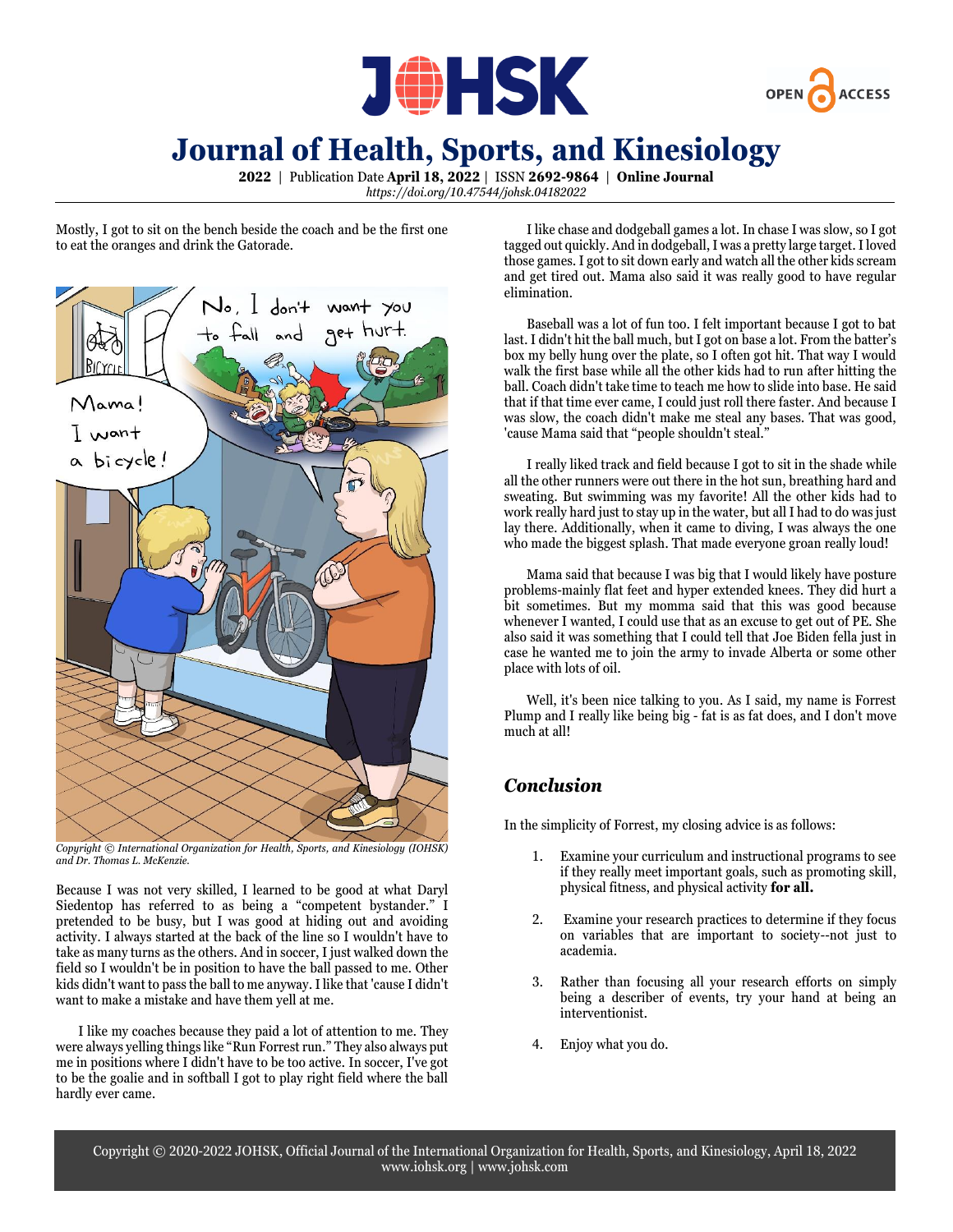



**2022** | Publication Date **April 18, 2022** | ISSN **2692-9864** | **Online Journal** *https://doi.org/10.47544/johsk.04182022*

Mostly, I got to sit on the bench beside the coach and be the first one to eat the oranges and drink the Gatorade.



*Copyright © International Organization for Health, Sports, and Kinesiology (IOHSK) and Dr. Thomas L. McKenzie.*

Because I was not very skilled, I learned to be good at what Daryl Siedentop has referred to as being a "competent bystander." I pretended to be busy, but I was good at hiding out and avoiding activity. I always started at the back of the line so I wouldn't have to take as many turns as the others. And in soccer, I just walked down the field so I wouldn't be in position to have the ball passed to me. Other kids didn't want to pass the ball to me anyway. I like that 'cause I didn't want to make a mistake and have them yell at me.

I like my coaches because they paid a lot of attention to me. They were always yelling things like "Run Forrest run." They also always put me in positions where I didn't have to be too active. In soccer, I've got to be the goalie and in softball I got to play right field where the ball hardly ever came.

I like chase and dodgeball games a lot. In chase I was slow, so I got tagged out quickly. And in dodgeball,I was a pretty large target. Iloved those games. I got to sit down early and watch all the other kids scream and get tired out. Mama also said it was really good to have regular elimination.

Baseball was a lot of fun too. I felt important because I got to bat last. I didn't hit the ball much, but I got on base a lot. From the batter's box my belly hung over the plate, so I often got hit. That way I would walk the first base while all the other kids had to run after hitting the ball. Coach didn't take time to teach me how to slide into base. He said that if that time ever came, I could just roll there faster. And because I was slow, the coach didn't make me steal any bases. That was good, 'cause Mama said that "people shouldn't steal."

I really liked track and field because I got to sit in the shade while all the other runners were out there in the hot sun, breathing hard and sweating. But swimming was my favorite! All the other kids had to work really hard just to stay up in the water, but all I had to do was just lay there. Additionally, when it came to diving, I was always the one who made the biggest splash. That made everyone groan really loud!

Mama said that because I was big that I would likely have posture problems-mainly flat feet and hyper extended knees. They did hurt a bit sometimes. But my momma said that this was good because whenever I wanted, I could use that as an excuse to get out of PE. She also said it was something that I could tell that Joe Biden fella just in case he wanted me to join the army to invade Alberta or some other place with lots of oil.

Well, it's been nice talking to you. As I said, my name is Forrest Plump and I really like being big - fat is as fat does, and I don't move much at all!

## *Conclusion*

In the simplicity of Forrest, my closing advice is as follows:

- 1. Examine your curriculum and instructional programs to see if they really meet important goals, such as promoting skill, physical fitness, and physical activity **for all.**
- Examine your research practices to determine if they focus on variables that are important to society--not just to academia.
- 3. Rather than focusing all your research efforts on simply being a describer of events, try your hand at being an interventionist.
- 4. Enjoy what you do.